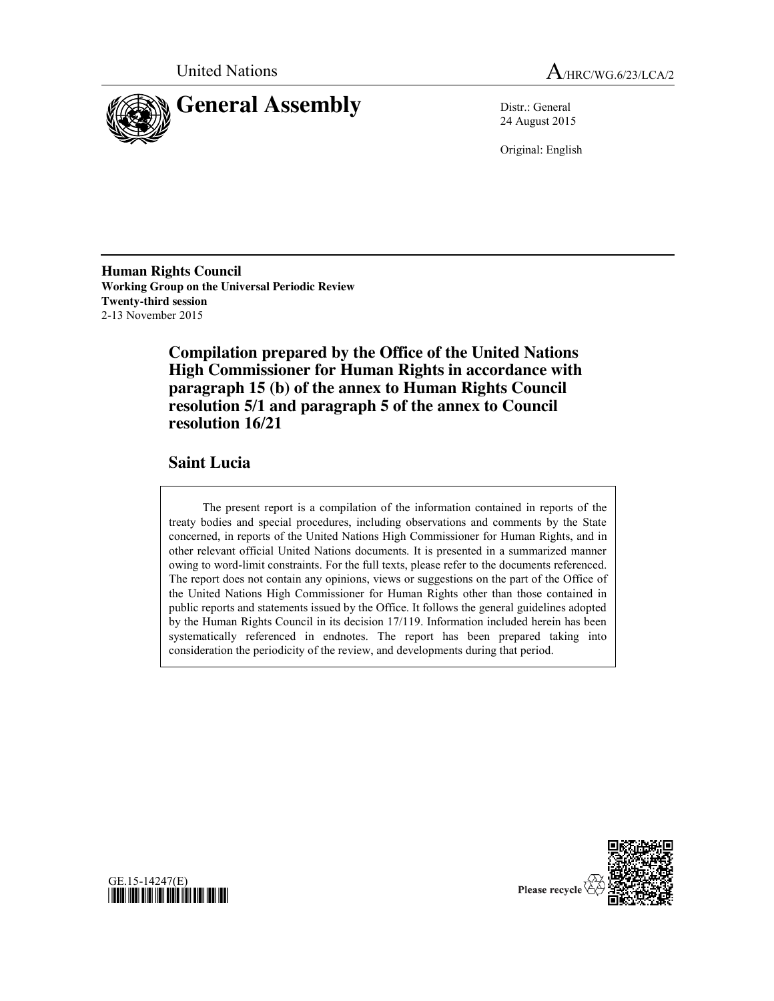



24 August 2015

Original: English

**Human Rights Council Working Group on the Universal Periodic Review Twenty-third session** 2-13 November 2015

> **Compilation prepared by the Office of the United Nations High Commissioner for Human Rights in accordance with paragraph 15 (b) of the annex to Human Rights Council resolution 5/1 and paragraph 5 of the annex to Council resolution 16/21**

# **Saint Lucia**

The present report is a compilation of the information contained in reports of the treaty bodies and special procedures, including observations and comments by the State concerned, in reports of the United Nations High Commissioner for Human Rights, and in other relevant official United Nations documents. It is presented in a summarized manner owing to word-limit constraints. For the full texts, please refer to the documents referenced. The report does not contain any opinions, views or suggestions on the part of the Office of the United Nations High Commissioner for Human Rights other than those contained in public reports and statements issued by the Office. It follows the general guidelines adopted by the Human Rights Council in its decision 17/119. Information included herein has been systematically referenced in endnotes. The report has been prepared taking into consideration the periodicity of the review, and developments during that period.



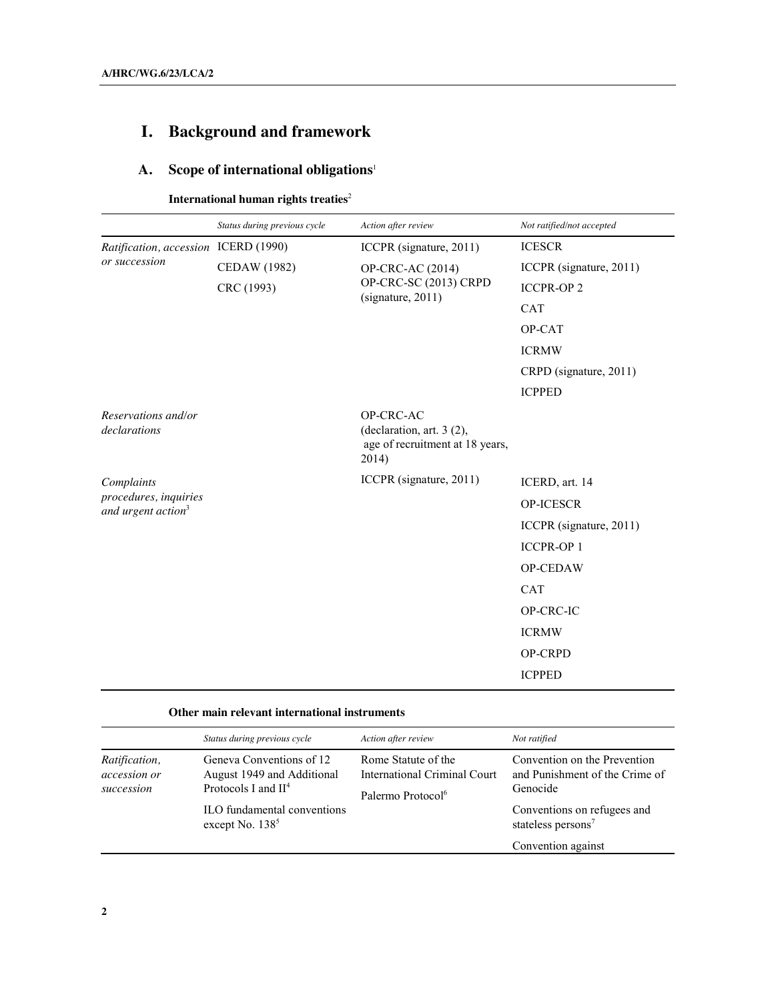# **I. Background and framework**

# **A. Scope of international obligations**<sup>1</sup>

**International human rights treaties**<sup>2</sup>

|                                                         | Status during previous cycle | Action after review                                                                | Not ratified/not accepted |
|---------------------------------------------------------|------------------------------|------------------------------------------------------------------------------------|---------------------------|
| Ratification, accession ICERD (1990)<br>or succession   |                              | ICCPR (signature, 2011)                                                            | <b>ICESCR</b>             |
|                                                         | <b>CEDAW</b> (1982)          | OP-CRC-AC (2014)<br>OP-CRC-SC (2013) CRPD<br>(signature, 2011)                     | ICCPR (signature, 2011)   |
|                                                         | CRC (1993)                   |                                                                                    | <b>ICCPR-OP2</b>          |
|                                                         |                              |                                                                                    | <b>CAT</b>                |
|                                                         |                              |                                                                                    | OP-CAT                    |
|                                                         |                              |                                                                                    | <b>ICRMW</b>              |
|                                                         |                              |                                                                                    | CRPD (signature, 2011)    |
|                                                         |                              |                                                                                    | <b>ICPPED</b>             |
| Reservations and/or<br>declarations                     |                              | OP-CRC-AC<br>(declaration, art. 3 (2),<br>age of recruitment at 18 years,<br>2014) |                           |
| Complaints                                              |                              | ICCPR (signature, 2011)                                                            | ICERD, art. 14            |
| procedures, inquiries<br>and urgent action <sup>3</sup> |                              |                                                                                    | <b>OP-ICESCR</b>          |
|                                                         |                              |                                                                                    | ICCPR (signature, 2011)   |
|                                                         |                              |                                                                                    | <b>ICCPR-OP1</b>          |
|                                                         |                              |                                                                                    | OP-CEDAW                  |
|                                                         |                              |                                                                                    | <b>CAT</b>                |
|                                                         |                              |                                                                                    | OP-CRC-IC                 |
|                                                         |                              |                                                                                    | <b>ICRMW</b>              |
|                                                         |                              |                                                                                    | OP-CRPD                   |
|                                                         |                              |                                                                                    | <b>ICPPED</b>             |

## **Other main relevant international instruments**

|                                             | Status during previous cycle                                                                                                        | Action after review                                                                         | Not ratified                                                                                                                                |
|---------------------------------------------|-------------------------------------------------------------------------------------------------------------------------------------|---------------------------------------------------------------------------------------------|---------------------------------------------------------------------------------------------------------------------------------------------|
| Ratification,<br>accession or<br>succession | Geneva Conventions of 12<br>August 1949 and Additional<br>Protocols I and $II4$<br>ILO fundamental conventions<br>except No. $1385$ | Rome Statute of the<br><b>International Criminal Court</b><br>Palermo Protocol <sup>6</sup> | Convention on the Prevention<br>and Punishment of the Crime of<br>Genocide<br>Conventions on refugees and<br>stateless persons <sup>7</sup> |
|                                             |                                                                                                                                     |                                                                                             | Convention against                                                                                                                          |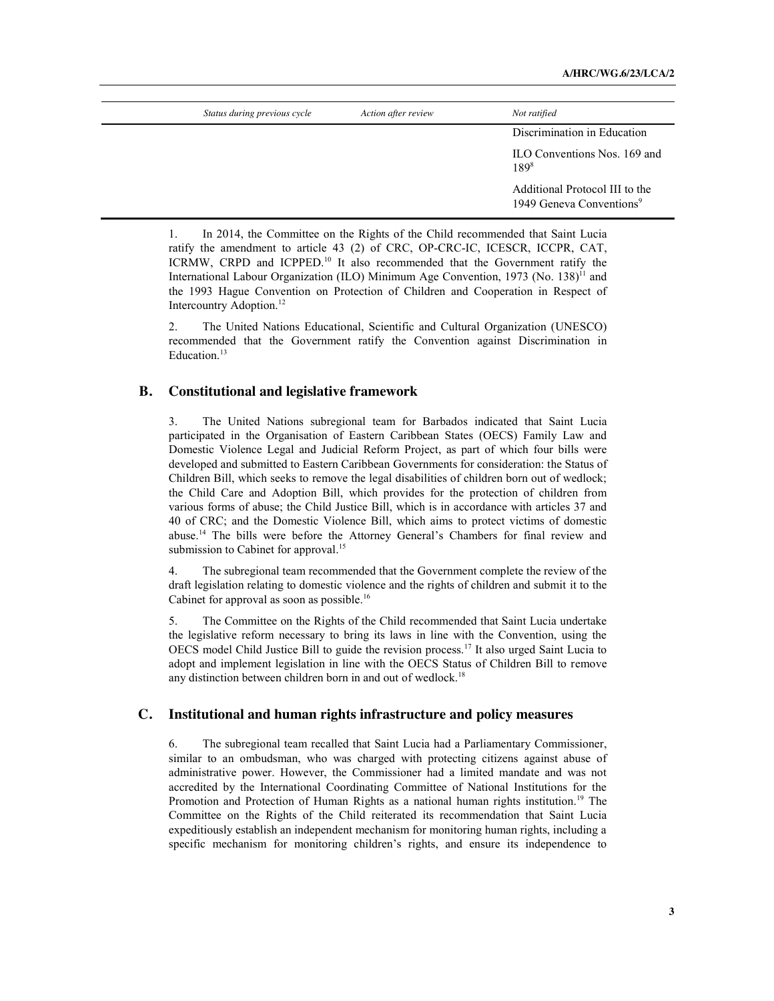| Status during previous cycle | Action after review | Not ratified                                                           |
|------------------------------|---------------------|------------------------------------------------------------------------|
|                              |                     | Discrimination in Education                                            |
|                              |                     | ILO Conventions Nos. 169 and<br>$189^{8}$                              |
|                              |                     | Additional Protocol III to the<br>1949 Geneva Conventions <sup>9</sup> |

1. In 2014, the Committee on the Rights of the Child recommended that Saint Lucia ratify the amendment to article 43 (2) of CRC, OP-CRC-IC, ICESCR, ICCPR, CAT, ICRMW, CRPD and ICPPED.<sup>10</sup> It also recommended that the Government ratify the International Labour Organization (ILO) Minimum Age Convention, 1973 (No. 138)<sup>11</sup> and the 1993 Hague Convention on Protection of Children and Cooperation in Respect of Intercountry Adoption.<sup>12</sup>

2. The United Nations Educational, Scientific and Cultural Organization (UNESCO) recommended that the Government ratify the Convention against Discrimination in Education.<sup>13</sup>

#### **B. Constitutional and legislative framework**

3. The United Nations subregional team for Barbados indicated that Saint Lucia participated in the Organisation of Eastern Caribbean States (OECS) Family Law and Domestic Violence Legal and Judicial Reform Project, as part of which four bills were developed and submitted to Eastern Caribbean Governments for consideration: the Status of Children Bill, which seeks to remove the legal disabilities of children born out of wedlock; the Child Care and Adoption Bill, which provides for the protection of children from various forms of abuse; the Child Justice Bill, which is in accordance with articles 37 and 40 of CRC; and the Domestic Violence Bill, which aims to protect victims of domestic abuse.<sup>14</sup> The bills were before the Attorney General's Chambers for final review and submission to Cabinet for approval.<sup>15</sup>

4. The subregional team recommended that the Government complete the review of the draft legislation relating to domestic violence and the rights of children and submit it to the Cabinet for approval as soon as possible.<sup>16</sup>

5. The Committee on the Rights of the Child recommended that Saint Lucia undertake the legislative reform necessary to bring its laws in line with the Convention, using the OECS model Child Justice Bill to guide the revision process.17 It also urged Saint Lucia to adopt and implement legislation in line with the OECS Status of Children Bill to remove any distinction between children born in and out of wedlock.<sup>18</sup>

#### **C. Institutional and human rights infrastructure and policy measures**

6. The subregional team recalled that Saint Lucia had a Parliamentary Commissioner, similar to an ombudsman, who was charged with protecting citizens against abuse of administrative power. However, the Commissioner had a limited mandate and was not accredited by the International Coordinating Committee of National Institutions for the Promotion and Protection of Human Rights as a national human rights institution.<sup>19</sup> The Committee on the Rights of the Child reiterated its recommendation that Saint Lucia expeditiously establish an independent mechanism for monitoring human rights, including a specific mechanism for monitoring children's rights, and ensure its independence to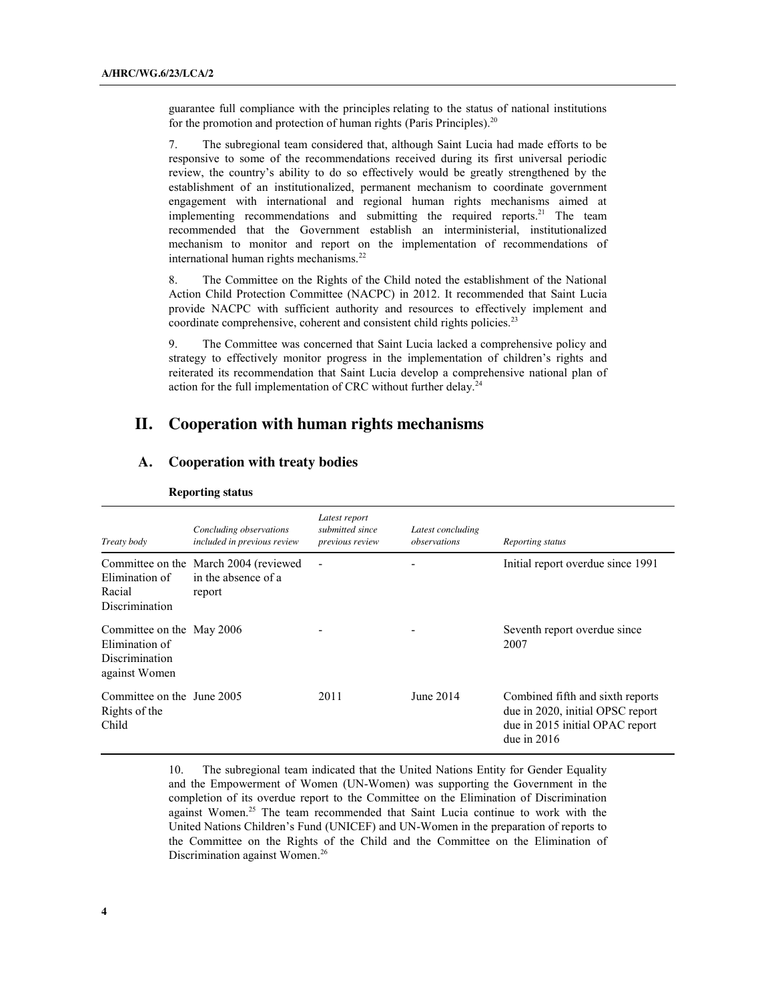guarantee full compliance with the principles relating to the status of national institutions for the promotion and protection of human rights (Paris Principles).<sup>20</sup>

7. The subregional team considered that, although Saint Lucia had made efforts to be responsive to some of the recommendations received during its first universal periodic review, the country's ability to do so effectively would be greatly strengthened by the establishment of an institutionalized, permanent mechanism to coordinate government engagement with international and regional human rights mechanisms aimed at implementing recommendations and submitting the required reports.<sup>21</sup> The team recommended that the Government establish an interministerial, institutionalized mechanism to monitor and report on the implementation of recommendations of international human rights mechanisms.<sup>22</sup>

8. The Committee on the Rights of the Child noted the establishment of the National Action Child Protection Committee (NACPC) in 2012. It recommended that Saint Lucia provide NACPC with sufficient authority and resources to effectively implement and coordinate comprehensive, coherent and consistent child rights policies.<sup>23</sup>

9. The Committee was concerned that Saint Lucia lacked a comprehensive policy and strategy to effectively monitor progress in the implementation of children's rights and reiterated its recommendation that Saint Lucia develop a comprehensive national plan of action for the full implementation of CRC without further delay.<sup>24</sup>

# **II. Cooperation with human rights mechanisms**

## **A. Cooperation with treaty bodies**

| Treaty body                                                                           | Concluding observations<br>included in previous review                 | Latest report<br>submitted since<br>previous review | Latest concluding<br>observations | Reporting status                                                                                                         |
|---------------------------------------------------------------------------------------|------------------------------------------------------------------------|-----------------------------------------------------|-----------------------------------|--------------------------------------------------------------------------------------------------------------------------|
| Elimination of<br>Racial<br><b>Discrimination</b>                                     | Committee on the March 2004 (reviewed<br>in the absence of a<br>report |                                                     |                                   | Initial report overdue since 1991                                                                                        |
| Committee on the May 2006<br>Elimination of<br><b>Discrimination</b><br>against Women |                                                                        |                                                     |                                   | Seventh report overdue since<br>2007                                                                                     |
| Committee on the June 2005<br>Rights of the<br>Child                                  |                                                                        | 2011                                                | June 2014                         | Combined fifth and sixth reports<br>due in 2020, initial OPSC report<br>due in 2015 initial OPAC report<br>due in $2016$ |

#### **Reporting status**

10. The subregional team indicated that the United Nations Entity for Gender Equality and the Empowerment of Women (UN-Women) was supporting the Government in the completion of its overdue report to the Committee on the Elimination of Discrimination against Women. <sup>25</sup> The team recommended that Saint Lucia continue to work with the United Nations Children's Fund (UNICEF) and UN-Women in the preparation of reports to the Committee on the Rights of the Child and the Committee on the Elimination of Discrimination against Women.<sup>26</sup>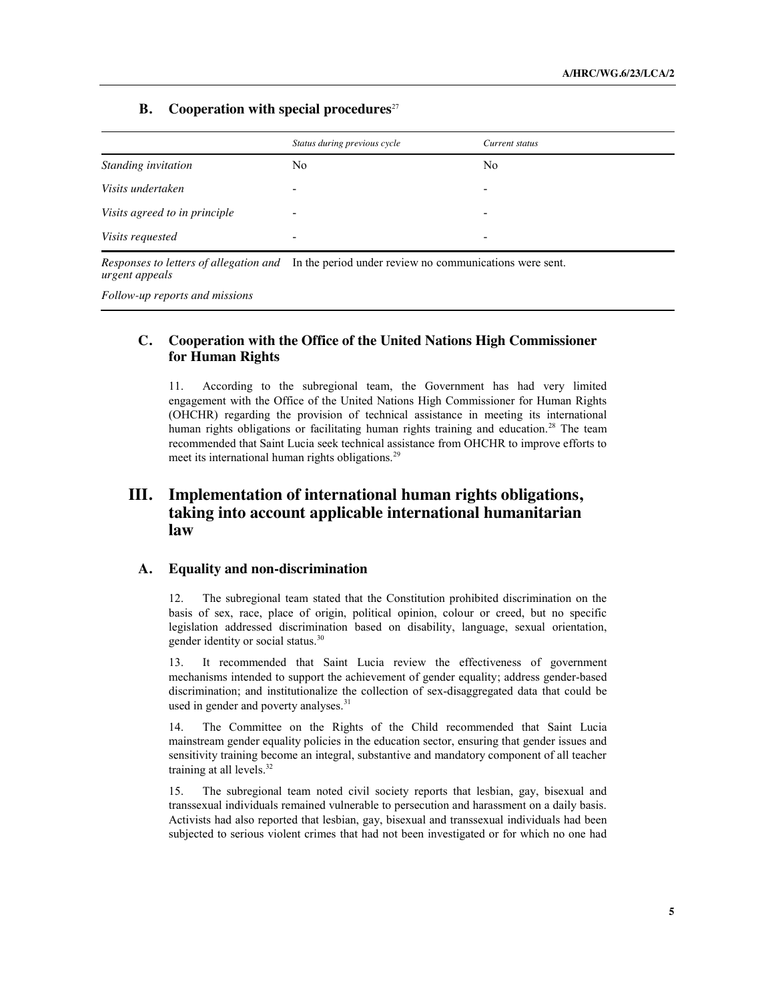#### **B. Cooperation with special procedures**<sup>27</sup>

|                               | Status during previous cycle | Current status           |
|-------------------------------|------------------------------|--------------------------|
| Standing invitation           | No                           | N <sub>0</sub>           |
| Visits undertaken             | $\overline{\phantom{0}}$     | $\overline{\phantom{a}}$ |
| Visits agreed to in principle | $\overline{\phantom{0}}$     | -                        |
| Visits requested              | -                            | -                        |

*Responses to letters of allegation and*  In the period under review no communications were sent. *urgent appeals*

*Follow-up reports and missions*

## **C. Cooperation with the Office of the United Nations High Commissioner for Human Rights**

11. According to the subregional team, the Government has had very limited engagement with the Office of the United Nations High Commissioner for Human Rights (OHCHR) regarding the provision of technical assistance in meeting its international human rights obligations or facilitating human rights training and education.<sup>28</sup> The team recommended that Saint Lucia seek technical assistance from OHCHR to improve efforts to meet its international human rights obligations.<sup>29</sup>

# **III. Implementation of international human rights obligations, taking into account applicable international humanitarian law**

### **A. Equality and non-discrimination**

12. The subregional team stated that the Constitution prohibited discrimination on the basis of sex, race, place of origin, political opinion, colour or creed, but no specific legislation addressed discrimination based on disability, language, sexual orientation, gender identity or social status.30

13. It recommended that Saint Lucia review the effectiveness of government mechanisms intended to support the achievement of gender equality; address gender-based discrimination; and institutionalize the collection of sex-disaggregated data that could be used in gender and poverty analyses.<sup>31</sup>

14. The Committee on the Rights of the Child recommended that Saint Lucia mainstream gender equality policies in the education sector, ensuring that gender issues and sensitivity training become an integral, substantive and mandatory component of all teacher training at all levels.<sup>32</sup>

15. The subregional team noted civil society reports that lesbian, gay, bisexual and transsexual individuals remained vulnerable to persecution and harassment on a daily basis. Activists had also reported that lesbian, gay, bisexual and transsexual individuals had been subjected to serious violent crimes that had not been investigated or for which no one had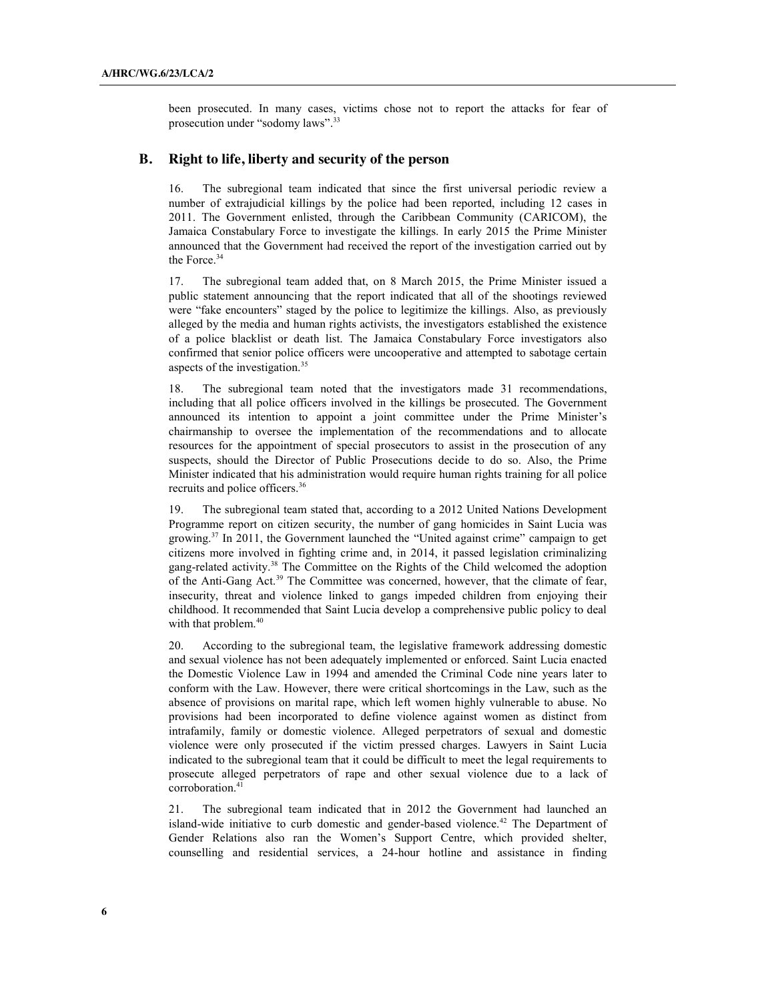been prosecuted. In many cases, victims chose not to report the attacks for fear of prosecution under "sodomy laws".<sup>33</sup>

#### **B. Right to life, liberty and security of the person**

16. The subregional team indicated that since the first universal periodic review a number of extrajudicial killings by the police had been reported, including 12 cases in 2011. The Government enlisted, through the Caribbean Community (CARICOM), the Jamaica Constabulary Force to investigate the killings. In early 2015 the Prime Minister announced that the Government had received the report of the investigation carried out by the Force. 34

17. The subregional team added that, on 8 March 2015, the Prime Minister issued a public statement announcing that the report indicated that all of the shootings reviewed were "fake encounters" staged by the police to legitimize the killings. Also, as previously alleged by the media and human rights activists, the investigators established the existence of a police blacklist or death list. The Jamaica Constabulary Force investigators also confirmed that senior police officers were uncooperative and attempted to sabotage certain aspects of the investigation.35

18. The subregional team noted that the investigators made 31 recommendations, including that all police officers involved in the killings be prosecuted. The Government announced its intention to appoint a joint committee under the Prime Minister's chairmanship to oversee the implementation of the recommendations and to allocate resources for the appointment of special prosecutors to assist in the prosecution of any suspects, should the Director of Public Prosecutions decide to do so. Also, the Prime Minister indicated that his administration would require human rights training for all police recruits and police officers.36

19. The subregional team stated that, according to a 2012 United Nations Development Programme report on citizen security, the number of gang homicides in Saint Lucia was growing.37 In 2011, the Government launched the "United against crime" campaign to get citizens more involved in fighting crime and, in 2014, it passed legislation criminalizing gang-related activity.<sup>38</sup> The Committee on the Rights of the Child welcomed the adoption of the Anti-Gang Act.<sup>39</sup> The Committee was concerned, however, that the climate of fear. insecurity, threat and violence linked to gangs impeded children from enjoying their childhood. It recommended that Saint Lucia develop a comprehensive public policy to deal with that problem.<sup>40</sup>

20. According to the subregional team, the legislative framework addressing domestic and sexual violence has not been adequately implemented or enforced. Saint Lucia enacted the Domestic Violence Law in 1994 and amended the Criminal Code nine years later to conform with the Law. However, there were critical shortcomings in the Law, such as the absence of provisions on marital rape, which left women highly vulnerable to abuse. No provisions had been incorporated to define violence against women as distinct from intrafamily, family or domestic violence. Alleged perpetrators of sexual and domestic violence were only prosecuted if the victim pressed charges. Lawyers in Saint Lucia indicated to the subregional team that it could be difficult to meet the legal requirements to prosecute alleged perpetrators of rape and other sexual violence due to a lack of corroboration.<sup>41</sup>

21. The subregional team indicated that in 2012 the Government had launched an island-wide initiative to curb domestic and gender-based violence.<sup>42</sup> The Department of Gender Relations also ran the Women's Support Centre, which provided shelter, counselling and residential services, a 24-hour hotline and assistance in finding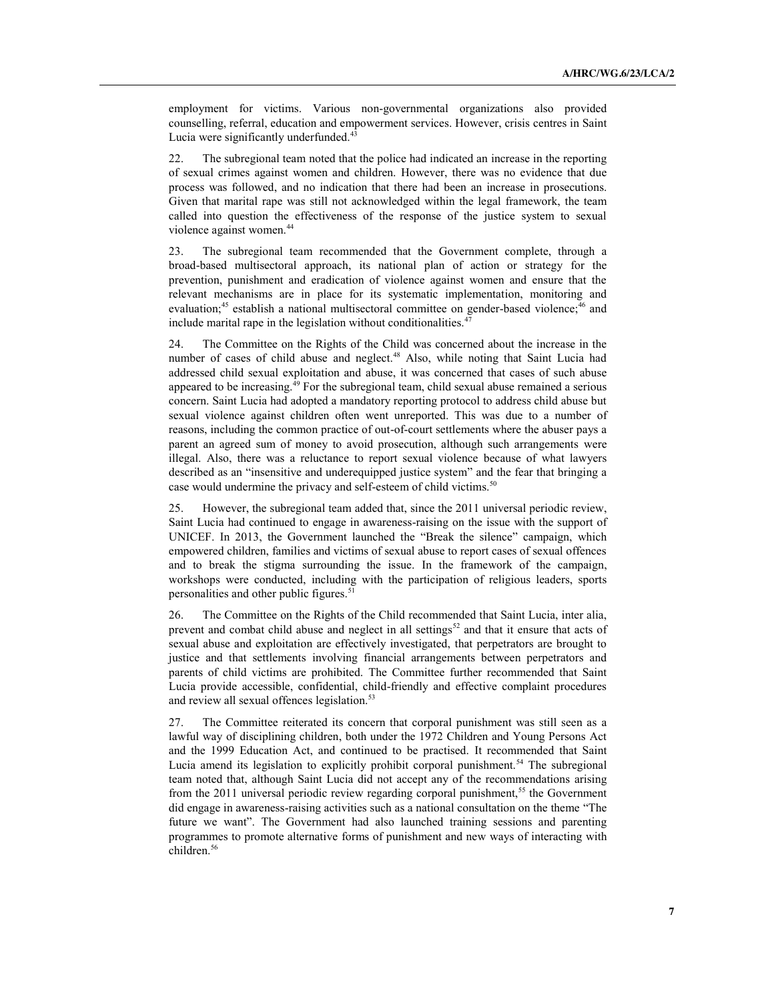employment for victims. Various non-governmental organizations also provided counselling, referral, education and empowerment services. However, crisis centres in Saint Lucia were significantly underfunded.<sup>43</sup>

22. The subregional team noted that the police had indicated an increase in the reporting of sexual crimes against women and children. However, there was no evidence that due process was followed, and no indication that there had been an increase in prosecutions. Given that marital rape was still not acknowledged within the legal framework, the team called into question the effectiveness of the response of the justice system to sexual violence against women.<sup>44</sup>

23. The subregional team recommended that the Government complete, through a broad-based multisectoral approach, its national plan of action or strategy for the prevention, punishment and eradication of violence against women and ensure that the relevant mechanisms are in place for its systematic implementation, monitoring and evaluation;<sup>45</sup> establish a national multisectoral committee on gender-based violence;<sup>46</sup> and include marital rape in the legislation without conditionalities.<sup>47</sup>

The Committee on the Rights of the Child was concerned about the increase in the number of cases of child abuse and neglect. <sup>48</sup> Also, while noting that Saint Lucia had addressed child sexual exploitation and abuse, it was concerned that cases of such abuse appeared to be increasing. $^{49}$  For the subregional team, child sexual abuse remained a serious concern. Saint Lucia had adopted a mandatory reporting protocol to address child abuse but sexual violence against children often went unreported. This was due to a number of reasons, including the common practice of out-of-court settlements where the abuser pays a parent an agreed sum of money to avoid prosecution, although such arrangements were illegal. Also, there was a reluctance to report sexual violence because of what lawyers described as an "insensitive and underequipped justice system" and the fear that bringing a case would undermine the privacy and self-esteem of child victims.<sup>50</sup>

25. However, the subregional team added that, since the 2011 universal periodic review, Saint Lucia had continued to engage in awareness-raising on the issue with the support of UNICEF. In 2013, the Government launched the "Break the silence" campaign, which empowered children, families and victims of sexual abuse to report cases of sexual offences and to break the stigma surrounding the issue. In the framework of the campaign, workshops were conducted, including with the participation of religious leaders, sports personalities and other public figures.<sup>51</sup>

26. The Committee on the Rights of the Child recommended that Saint Lucia, inter alia, prevent and combat child abuse and neglect in all settings<sup>52</sup> and that it ensure that acts of sexual abuse and exploitation are effectively investigated, that perpetrators are brought to justice and that settlements involving financial arrangements between perpetrators and parents of child victims are prohibited. The Committee further recommended that Saint Lucia provide accessible, confidential, child-friendly and effective complaint procedures and review all sexual offences legislation.<sup>53</sup>

27. The Committee reiterated its concern that corporal punishment was still seen as a lawful way of disciplining children, both under the 1972 Children and Young Persons Act and the 1999 Education Act, and continued to be practised. It recommended that Saint Lucia amend its legislation to explicitly prohibit corporal punishment.<sup>54</sup> The subregional team noted that, although Saint Lucia did not accept any of the recommendations arising from the 2011 universal periodic review regarding corporal punishment,<sup>55</sup> the Government did engage in awareness-raising activities such as a national consultation on the theme "The future we want". The Government had also launched training sessions and parenting programmes to promote alternative forms of punishment and new ways of interacting with children. 56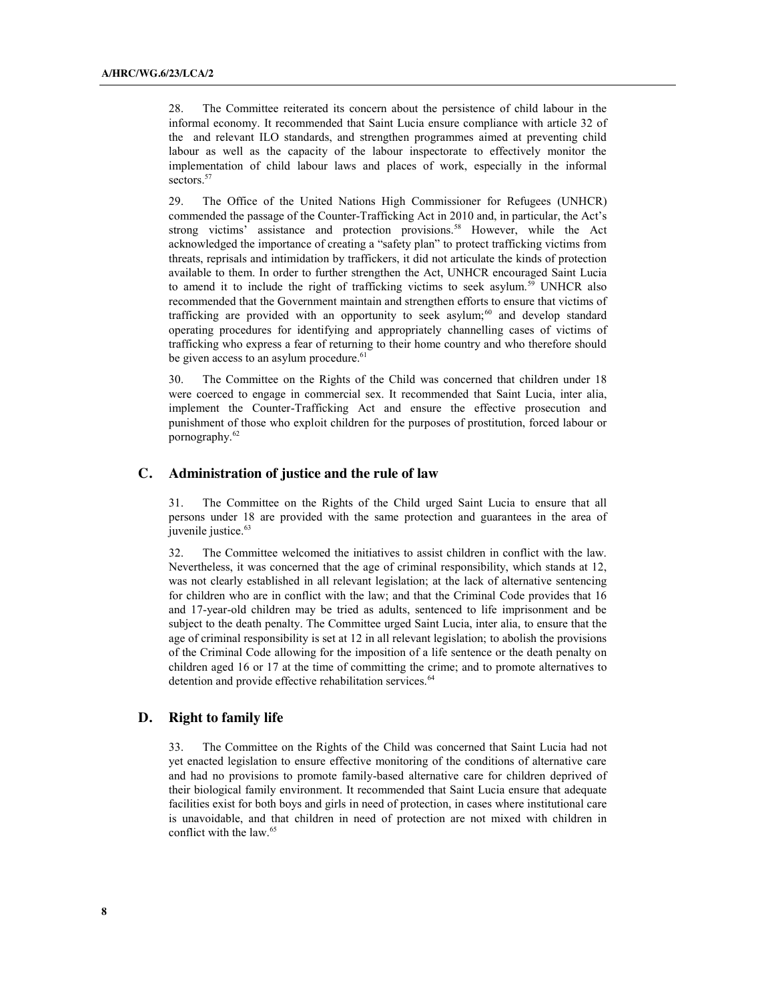28. The Committee reiterated its concern about the persistence of child labour in the informal economy. It recommended that Saint Lucia ensure compliance with article 32 of the and relevant ILO standards, and strengthen programmes aimed at preventing child labour as well as the capacity of the labour inspectorate to effectively monitor the implementation of child labour laws and places of work, especially in the informal sectors. 57

29. The Office of the United Nations High Commissioner for Refugees (UNHCR) commended the passage of the Counter-Trafficking Act in 2010 and, in particular, the Act's strong victims' assistance and protection provisions.<sup>58</sup> However, while the Act acknowledged the importance of creating a "safety plan" to protect trafficking victims from threats, reprisals and intimidation by traffickers, it did not articulate the kinds of protection available to them. In order to further strengthen the Act, UNHCR encouraged Saint Lucia to amend it to include the right of trafficking victims to seek asylum.<sup>59</sup> UNHCR also recommended that the Government maintain and strengthen efforts to ensure that victims of trafficking are provided with an opportunity to seek asylum; $60$  and develop standard operating procedures for identifying and appropriately channelling cases of victims of trafficking who express a fear of returning to their home country and who therefore should be given access to an asylum procedure.<sup>61</sup>

30. The Committee on the Rights of the Child was concerned that children under 18 were coerced to engage in commercial sex. It recommended that Saint Lucia, inter alia, implement the Counter-Trafficking Act and ensure the effective prosecution and punishment of those who exploit children for the purposes of prostitution, forced labour or pornography.<sup>62</sup>

#### **C. Administration of justice and the rule of law**

31. The Committee on the Rights of the Child urged Saint Lucia to ensure that all persons under 18 are provided with the same protection and guarantees in the area of juvenile justice.<sup>63</sup>

32. The Committee welcomed the initiatives to assist children in conflict with the law. Nevertheless, it was concerned that the age of criminal responsibility, which stands at 12, was not clearly established in all relevant legislation; at the lack of alternative sentencing for children who are in conflict with the law; and that the Criminal Code provides that 16 and 17-year-old children may be tried as adults, sentenced to life imprisonment and be subject to the death penalty. The Committee urged Saint Lucia, inter alia, to ensure that the age of criminal responsibility is set at 12 in all relevant legislation; to abolish the provisions of the Criminal Code allowing for the imposition of a life sentence or the death penalty on children aged 16 or 17 at the time of committing the crime; and to promote alternatives to detention and provide effective rehabilitation services.<sup>64</sup>

#### **D. Right to family life**

33. The Committee on the Rights of the Child was concerned that Saint Lucia had not yet enacted legislation to ensure effective monitoring of the conditions of alternative care and had no provisions to promote family-based alternative care for children deprived of their biological family environment. It recommended that Saint Lucia ensure that adequate facilities exist for both boys and girls in need of protection, in cases where institutional care is unavoidable, and that children in need of protection are not mixed with children in conflict with the law.<sup>65</sup>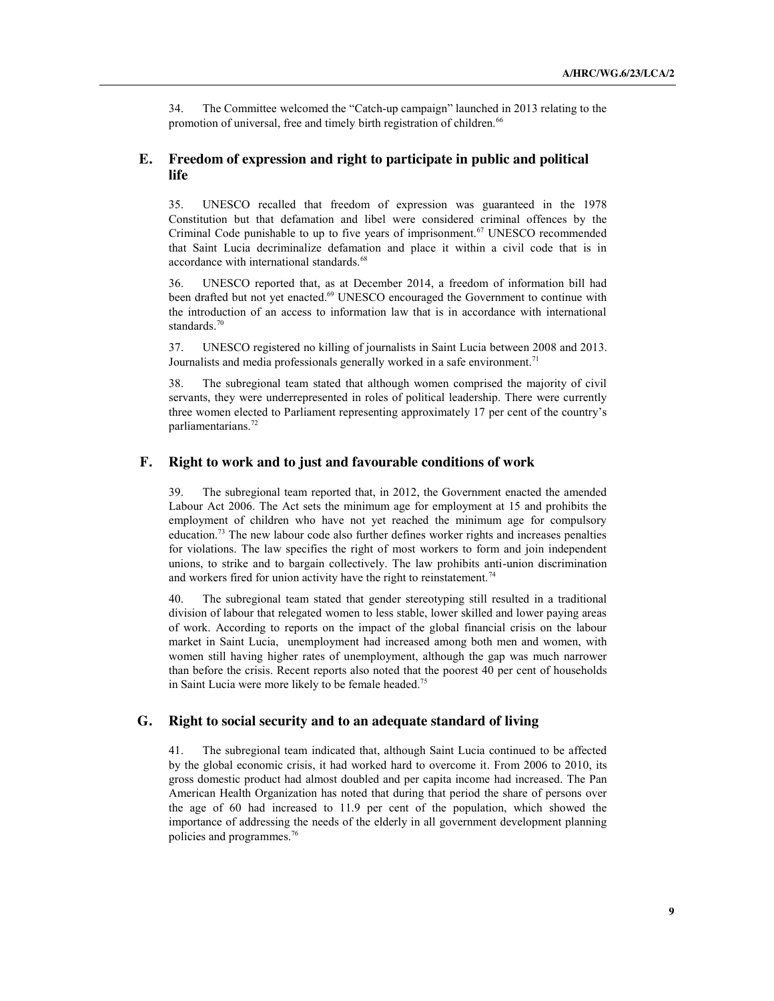34. The Committee welcomed the "Catch-up campaign" launched in 2013 relating to the promotion of universal, free and timely birth registration of children.<sup>66</sup>

## **E. Freedom of expression and right to participate in public and political life**

35. UNESCO recalled that freedom of expression was guaranteed in the 1978 Constitution but that defamation and libel were considered criminal offences by the Criminal Code punishable to up to five years of imprisonment.<sup>67</sup> UNESCO recommended that Saint Lucia decriminalize defamation and place it within a civil code that is in accordance with international standards.<sup>68</sup>

36. UNESCO reported that, as at December 2014, a freedom of information bill had been drafted but not yet enacted.<sup>69</sup> UNESCO encouraged the Government to continue with the introduction of an access to information law that is in accordance with international standards.<sup>70</sup>

37. UNESCO registered no killing of journalists in Saint Lucia between 2008 and 2013. Journalists and media professionals generally worked in a safe environment.<sup>71</sup>

38. The subregional team stated that although women comprised the majority of civil servants, they were underrepresented in roles of political leadership. There were currently three women elected to Parliament representing approximately 17 per cent of the country's parliamentarians. 72

#### **F. Right to work and to just and favourable conditions of work**

39. The subregional team reported that, in 2012, the Government enacted the amended Labour Act 2006. The Act sets the minimum age for employment at 15 and prohibits the employment of children who have not yet reached the minimum age for compulsory education.73 The new labour code also further defines worker rights and increases penalties for violations. The law specifies the right of most workers to form and join independent unions, to strike and to bargain collectively. The law prohibits anti-union discrimination and workers fired for union activity have the right to reinstatement.<sup>74</sup>

40. The subregional team stated that gender stereotyping still resulted in a traditional division of labour that relegated women to less stable, lower skilled and lower paying areas of work. According to reports on the impact of the global financial crisis on the labour market in Saint Lucia, unemployment had increased among both men and women, with women still having higher rates of unemployment, although the gap was much narrower than before the crisis. Recent reports also noted that the poorest 40 per cent of households in Saint Lucia were more likely to be female headed.<sup>75</sup>

#### **G. Right to social security and to an adequate standard of living**

41. The subregional team indicated that, although Saint Lucia continued to be affected by the global economic crisis, it had worked hard to overcome it. From 2006 to 2010, its gross domestic product had almost doubled and per capita income had increased. The Pan American Health Organization has noted that during that period the share of persons over the age of 60 had increased to 11.9 per cent of the population, which showed the importance of addressing the needs of the elderly in all government development planning policies and programmes.76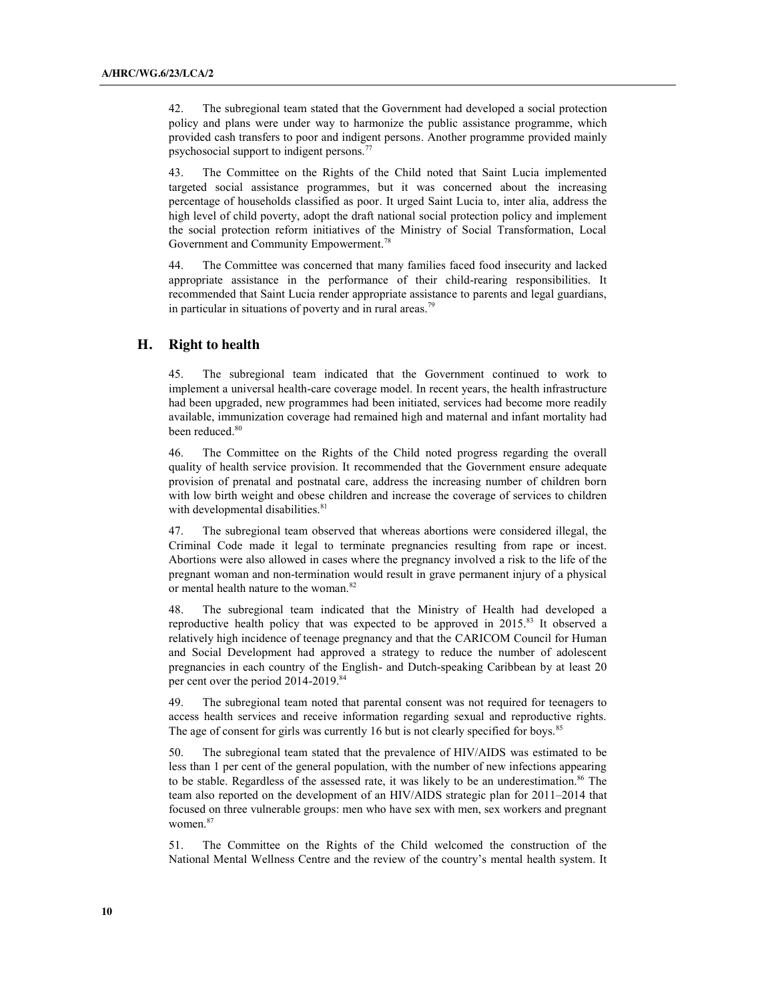42. The subregional team stated that the Government had developed a social protection policy and plans were under way to harmonize the public assistance programme, which provided cash transfers to poor and indigent persons. Another programme provided mainly psychosocial support to indigent persons.<sup>77</sup>

43. The Committee on the Rights of the Child noted that Saint Lucia implemented targeted social assistance programmes, but it was concerned about the increasing percentage of households classified as poor. It urged Saint Lucia to, inter alia, address the high level of child poverty, adopt the draft national social protection policy and implement the social protection reform initiatives of the Ministry of Social Transformation, Local Government and Community Empowerment.<sup>78</sup>

44. The Committee was concerned that many families faced food insecurity and lacked appropriate assistance in the performance of their child-rearing responsibilities. It recommended that Saint Lucia render appropriate assistance to parents and legal guardians, in particular in situations of poverty and in rural areas.<sup>79</sup>

#### **H. Right to health**

45. The subregional team indicated that the Government continued to work to implement a universal health-care coverage model. In recent years, the health infrastructure had been upgraded, new programmes had been initiated, services had become more readily available, immunization coverage had remained high and maternal and infant mortality had been reduced.<sup>80</sup>

46. The Committee on the Rights of the Child noted progress regarding the overall quality of health service provision. It recommended that the Government ensure adequate provision of prenatal and postnatal care, address the increasing number of children born with low birth weight and obese children and increase the coverage of services to children with developmental disabilities.<sup>81</sup>

47. The subregional team observed that whereas abortions were considered illegal, the Criminal Code made it legal to terminate pregnancies resulting from rape or incest. Abortions were also allowed in cases where the pregnancy involved a risk to the life of the pregnant woman and non-termination would result in grave permanent injury of a physical or mental health nature to the woman.<sup>82</sup>

48. The subregional team indicated that the Ministry of Health had developed a reproductive health policy that was expected to be approved in  $2015$ .<sup>83</sup> It observed a relatively high incidence of teenage pregnancy and that the CARICOM Council for Human and Social Development had approved a strategy to reduce the number of adolescent pregnancies in each country of the English- and Dutch-speaking Caribbean by at least 20 per cent over the period 2014-2019.<sup>84</sup>

49. The subregional team noted that parental consent was not required for teenagers to access health services and receive information regarding sexual and reproductive rights. The age of consent for girls was currently 16 but is not clearly specified for boys.<sup>85</sup>

50. The subregional team stated that the prevalence of HIV/AIDS was estimated to be less than 1 per cent of the general population, with the number of new infections appearing to be stable. Regardless of the assessed rate, it was likely to be an underestimation.<sup>86</sup> The team also reported on the development of an HIV/AIDS strategic plan for 2011–2014 that focused on three vulnerable groups: men who have sex with men, sex workers and pregnant women.<sup>87</sup>

51. The Committee on the Rights of the Child welcomed the construction of the National Mental Wellness Centre and the review of the country's mental health system. It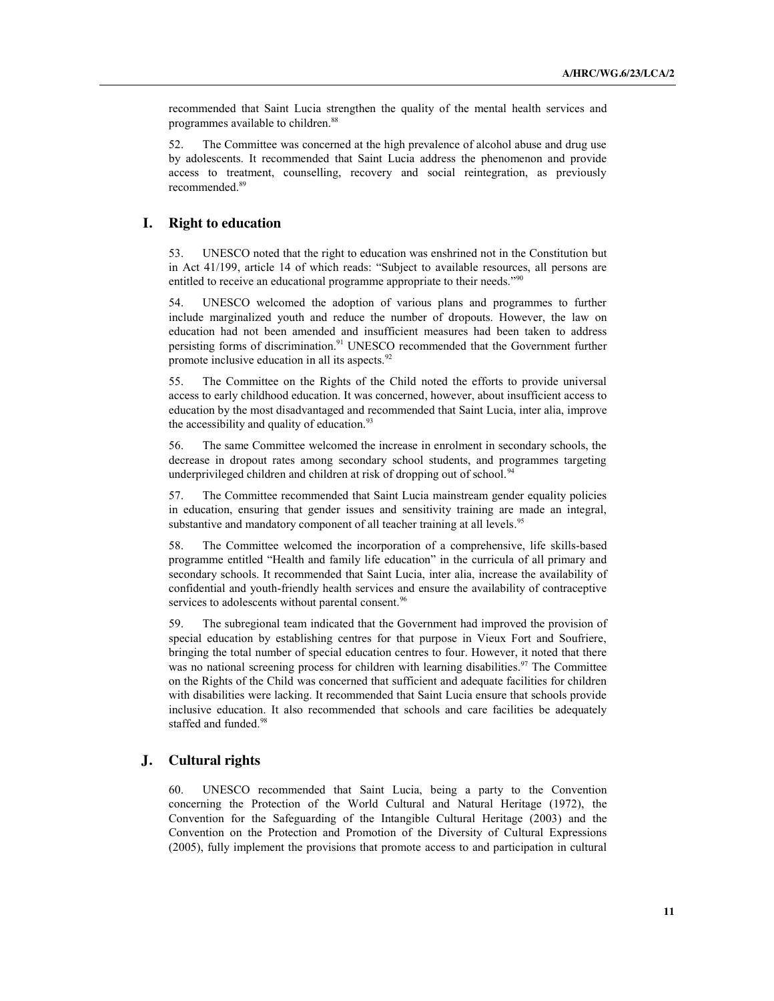recommended that Saint Lucia strengthen the quality of the mental health services and programmes available to children.<sup>88</sup>

52. The Committee was concerned at the high prevalence of alcohol abuse and drug use by adolescents. It recommended that Saint Lucia address the phenomenon and provide access to treatment, counselling, recovery and social reintegration, as previously recommended.89

#### **I. Right to education**

53. UNESCO noted that the right to education was enshrined not in the Constitution but in Act 41/199, article 14 of which reads: "Subject to available resources, all persons are entitled to receive an educational programme appropriate to their needs."<sup>90</sup>

54. UNESCO welcomed the adoption of various plans and programmes to further include marginalized youth and reduce the number of dropouts. However, the law on education had not been amended and insufficient measures had been taken to address persisting forms of discrimination.91 UNESCO recommended that the Government further promote inclusive education in all its aspects.<sup>92</sup>

55. The Committee on the Rights of the Child noted the efforts to provide universal access to early childhood education. It was concerned, however, about insufficient access to education by the most disadvantaged and recommended that Saint Lucia, inter alia, improve the accessibility and quality of education.<sup>93</sup>

56. The same Committee welcomed the increase in enrolment in secondary schools, the decrease in dropout rates among secondary school students, and programmes targeting underprivileged children and children at risk of dropping out of school.<sup>94</sup>

57. The Committee recommended that Saint Lucia mainstream gender equality policies in education, ensuring that gender issues and sensitivity training are made an integral, substantive and mandatory component of all teacher training at all levels.<sup>95</sup>

58. The Committee welcomed the incorporation of a comprehensive, life skills-based programme entitled "Health and family life education" in the curricula of all primary and secondary schools. It recommended that Saint Lucia, inter alia, increase the availability of confidential and youth-friendly health services and ensure the availability of contraceptive services to adolescents without parental consent.<sup>96</sup>

59. The subregional team indicated that the Government had improved the provision of special education by establishing centres for that purpose in Vieux Fort and Soufriere, bringing the total number of special education centres to four. However, it noted that there was no national screening process for children with learning disabilities.<sup>97</sup> The Committee on the Rights of the Child was concerned that sufficient and adequate facilities for children with disabilities were lacking. It recommended that Saint Lucia ensure that schools provide inclusive education. It also recommended that schools and care facilities be adequately staffed and funded.<sup>98</sup>

#### **J. Cultural rights**

60. UNESCO recommended that Saint Lucia, being a party to the Convention concerning the Protection of the World Cultural and Natural Heritage (1972), the Convention for the Safeguarding of the Intangible Cultural Heritage (2003) and the Convention on the Protection and Promotion of the Diversity of Cultural Expressions (2005), fully implement the provisions that promote access to and participation in cultural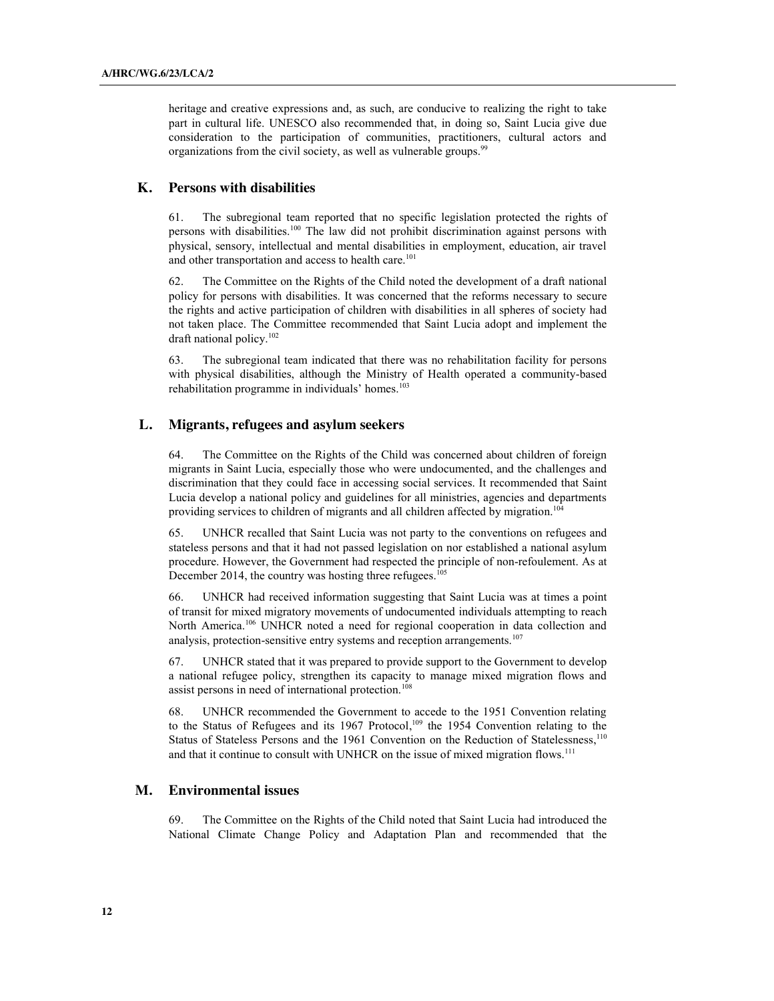heritage and creative expressions and, as such, are conducive to realizing the right to take part in cultural life. UNESCO also recommended that, in doing so, Saint Lucia give due consideration to the participation of communities, practitioners, cultural actors and organizations from the civil society, as well as vulnerable groups.<sup>99</sup>

#### **K. Persons with disabilities**

61. The subregional team reported that no specific legislation protected the rights of persons with disabilities. <sup>100</sup> The law did not prohibit discrimination against persons with physical, sensory, intellectual and mental disabilities in employment, education, air travel and other transportation and access to health care.<sup>101</sup>

62. The Committee on the Rights of the Child noted the development of a draft national policy for persons with disabilities. It was concerned that the reforms necessary to secure the rights and active participation of children with disabilities in all spheres of society had not taken place. The Committee recommended that Saint Lucia adopt and implement the draft national policy. 102

63. The subregional team indicated that there was no rehabilitation facility for persons with physical disabilities, although the Ministry of Health operated a community-based rehabilitation programme in individuals' homes.<sup>103</sup>

### **L. Migrants, refugees and asylum seekers**

64. The Committee on the Rights of the Child was concerned about children of foreign migrants in Saint Lucia, especially those who were undocumented, and the challenges and discrimination that they could face in accessing social services. It recommended that Saint Lucia develop a national policy and guidelines for all ministries, agencies and departments providing services to children of migrants and all children affected by migration.<sup>104</sup>

65. UNHCR recalled that Saint Lucia was not party to the conventions on refugees and stateless persons and that it had not passed legislation on nor established a national asylum procedure. However, the Government had respected the principle of non-refoulement. As at December 2014, the country was hosting three refugees.<sup>105</sup>

66. UNHCR had received information suggesting that Saint Lucia was at times a point of transit for mixed migratory movements of undocumented individuals attempting to reach North America.<sup>106</sup> UNHCR noted a need for regional cooperation in data collection and analysis, protection-sensitive entry systems and reception arrangements.<sup>107</sup>

67. UNHCR stated that it was prepared to provide support to the Government to develop a national refugee policy, strengthen its capacity to manage mixed migration flows and assist persons in need of international protection.<sup>108</sup>

68. UNHCR recommended the Government to accede to the 1951 Convention relating to the Status of Refugees and its 1967 Protocol, <sup>109</sup> the 1954 Convention relating to the Status of Stateless Persons and the 1961 Convention on the Reduction of Statelessness,<sup>110</sup> and that it continue to consult with UNHCR on the issue of mixed migration flows.<sup>111</sup>

#### **M. Environmental issues**

69. The Committee on the Rights of the Child noted that Saint Lucia had introduced the National Climate Change Policy and Adaptation Plan and recommended that the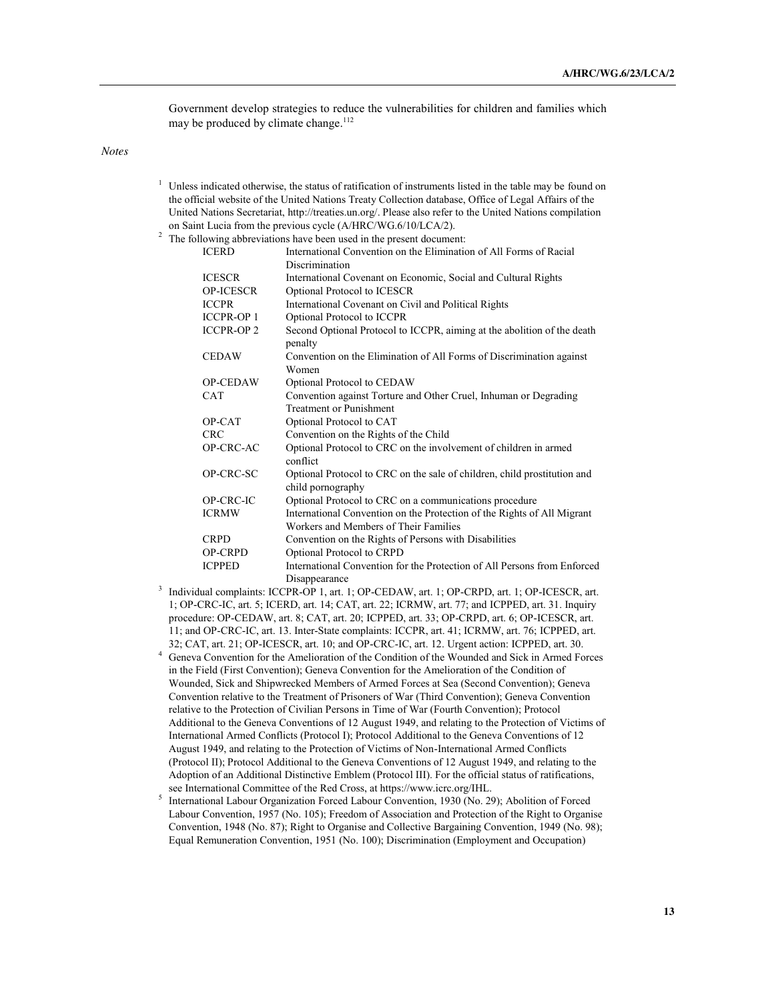Government develop strategies to reduce the vulnerabilities for children and families which may be produced by climate change.<sup>112</sup>

*Notes*

- $1$  Unless indicated otherwise, the status of ratification of instruments listed in the table may be found on the official website of the United Nations Treaty Collection database, Office of Legal Affairs of the United Nations Secretariat, http://treaties.un.org/. Please also refer to the United Nations compilation on Saint Lucia from the previous cycle (A/HRC/WG.6/10/LCA/2).
- <sup>2</sup> The following abbreviations have been used in the present document:

| <b>ICERD</b>      | International Convention on the Elimination of All Forms of Racial                            |
|-------------------|-----------------------------------------------------------------------------------------------|
|                   | Discrimination                                                                                |
| <b>ICESCR</b>     | International Covenant on Economic, Social and Cultural Rights                                |
| <b>OP-ICESCR</b>  | Optional Protocol to ICESCR                                                                   |
| <b>ICCPR</b>      | International Covenant on Civil and Political Rights                                          |
| <b>ICCPR-OP1</b>  | Optional Protocol to ICCPR                                                                    |
| <b>ICCPR-OP 2</b> | Second Optional Protocol to ICCPR, aiming at the abolition of the death<br>penalty            |
| <b>CEDAW</b>      | Convention on the Elimination of All Forms of Discrimination against<br>Women                 |
| <b>OP-CEDAW</b>   | Optional Protocol to CEDAW                                                                    |
| <b>CAT</b>        | Convention against Torture and Other Cruel, Inhuman or Degrading                              |
|                   | <b>Treatment or Punishment</b>                                                                |
| OP-CAT            | Optional Protocol to CAT                                                                      |
| <b>CRC</b>        | Convention on the Rights of the Child                                                         |
| OP-CRC-AC         | Optional Protocol to CRC on the involvement of children in armed<br>conflict                  |
| OP-CRC-SC         | Optional Protocol to CRC on the sale of children, child prostitution and<br>child pornography |
| OP-CRC-IC         | Optional Protocol to CRC on a communications procedure                                        |
| <b>ICRMW</b>      | International Convention on the Protection of the Rights of All Migrant                       |
|                   | Workers and Members of Their Families                                                         |
| <b>CRPD</b>       | Convention on the Rights of Persons with Disabilities                                         |
| OP-CRPD           | Optional Protocol to CRPD                                                                     |
| <b>ICPPED</b>     | International Convention for the Protection of All Persons from Enforced                      |
|                   | Disappearance                                                                                 |

- <sup>3</sup> Individual complaints: ICCPR-OP 1, art. 1; OP-CEDAW, art. 1; OP-CRPD, art. 1; OP-ICESCR, art. 1; OP-CRC-IC, art. 5; ICERD, art. 14; CAT, art. 22; ICRMW, art. 77; and ICPPED, art. 31. Inquiry procedure: OP-CEDAW, art. 8; CAT, art. 20; ICPPED, art. 33; OP-CRPD, art. 6; OP-ICESCR, art. 11; and OP-CRC-IC, art. 13. Inter-State complaints: ICCPR, art. 41; ICRMW, art. 76; ICPPED, art. 32; CAT, art. 21; OP-ICESCR, art. 10; and OP-CRC-IC, art. 12. Urgent action: ICPPED, art. 30.
- <sup>4</sup> Geneva Convention for the Amelioration of the Condition of the Wounded and Sick in Armed Forces in the Field (First Convention); Geneva Convention for the Amelioration of the Condition of Wounded, Sick and Shipwrecked Members of Armed Forces at Sea (Second Convention); Geneva Convention relative to the Treatment of Prisoners of War (Third Convention); Geneva Convention relative to the Protection of Civilian Persons in Time of War (Fourth Convention); Protocol Additional to the Geneva Conventions of 12 August 1949, and relating to the Protection of Victims of International Armed Conflicts (Protocol I); Protocol Additional to the Geneva Conventions of 12 August 1949, and relating to the Protection of Victims of Non-International Armed Conflicts (Protocol II); Protocol Additional to the Geneva Conventions of 12 August 1949, and relating to the Adoption of an Additional Distinctive Emblem (Protocol III). For the official status of ratifications, see International Committee of the Red Cross, at https://www.icrc.org/IHL.
- <sup>5</sup> International Labour Organization Forced Labour Convention, 1930 (No. 29); Abolition of Forced Labour Convention, 1957 (No. 105); Freedom of Association and Protection of the Right to Organise Convention, 1948 (No. 87); Right to Organise and Collective Bargaining Convention, 1949 (No. 98); Equal Remuneration Convention, 1951 (No. 100); Discrimination (Employment and Occupation)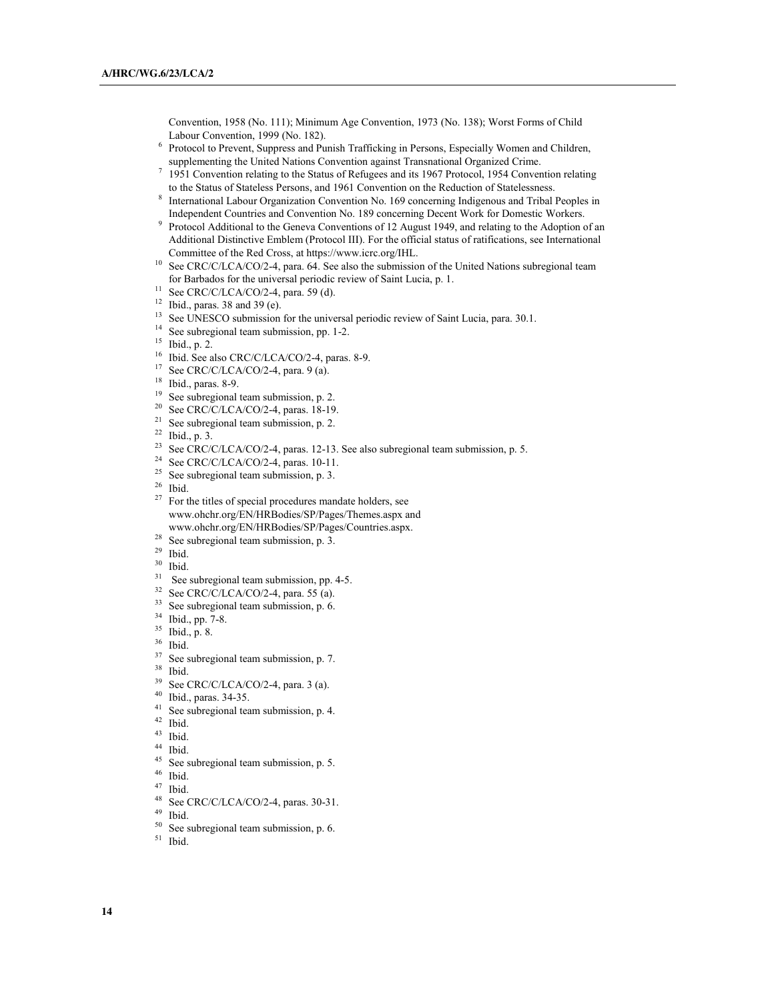Convention, 1958 (No. 111); Minimum Age Convention, 1973 (No. 138); Worst Forms of Child Labour Convention, 1999 (No. 182).

- <sup>6</sup> Protocol to Prevent, Suppress and Punish Trafficking in Persons, Especially Women and Children, supplementing the United Nations Convention against Transnational Organized Crime.
- <sup>7</sup> 1951 Convention relating to the Status of Refugees and its 1967 Protocol, 1954 Convention relating to the Status of Stateless Persons, and 1961 Convention on the Reduction of Statelessness.
- <sup>8</sup> International Labour Organization Convention No. 169 concerning Indigenous and Tribal Peoples in
- Independent Countries and Convention No. 189 concerning Decent Work for Domestic Workers. 9 Protocol Additional to the Geneva Conventions of 12 August 1949, and relating to the Adoption of an Additional Distinctive Emblem (Protocol III). For the official status of ratifications, see International Committee of the Red Cross, at https://www.icrc.org/IHL.
- <sup>10</sup> See CRC/C/LCA/CO/2-4, para. 64. See also the submission of the United Nations subregional team for Barbados for the universal periodic review of Saint Lucia, p. 1.
- <sup>11</sup> See CRC/C/LCA/CO/2-4, para. 59 (d).
- $12$  Ibid., paras. 38 and 39 (e).
- <sup>13</sup> See UNESCO submission for the universal periodic review of Saint Lucia, para. 30.1.<sup>14</sup> See subregional team submission, pp. 1-2.<br><sup>15</sup> Ibid.. n. 2.
- 
- 
- <sup>16</sup> Ibid. See also CRC/C/LCA/CO/2-4, paras. 8-9.<br><sup>17</sup> See CBC/C/LCA/CO/2. 4, para. 9.(a)
- <sup>17</sup> See CRC/C/LCA/CO/2-4, para. 9 (a).<br><sup>18</sup> Ibid. paras. 8.0
- $\frac{18}{19}$  Ibid., paras. 8-9.
- 
- <sup>19</sup> See subregional team submission, p. 2.<br><sup>20</sup> See CRC/C/LCA/CO/2-4, paras. 18-19.<br><sup>21</sup> See subregional team submission. p. 2.
- 
- 
- <sup>21</sup> See subregional team submission, p. 2.<br><sup>22</sup> Ibid., p. 3.<br><sup>23</sup> See CRC/C/LCA/CO/2-4, paras. 12-13. See also subregional team submission, p. 5.<br><sup>24</sup> See CRC/C/LCA/CO/2-4, paras. 12-13. See also subregional team submiss
- <sup>24</sup> See CRC/C/LCA/CO/2-4, paras. 10-11.
- <sup>25</sup> See subregional team submission, p. 3.<br><sup>26</sup> H<sub>214</sub></sub>
- 
- <sup>26</sup> Ibid. <sup>27</sup> For the titles of special procedures mandate holders, see www.ohchr.org/EN/HRBodies/SP/Pages/Themes.aspx and www.ohchr.org/EN/HRBodies/SP/Pages/Countries.aspx.
- 
- 
- 
- <sup>28</sup> See subregional team submission, p. 3.<br><sup>29</sup> Ibid. 30 Ibid. See subregional team submission, pp. 4-5.
- $32$  See CRC/C/LCA/CO/2-4, para. 55 (a).
- <sup>33</sup> See subregional team submission, p. 6.<br><sup>34</sup> Ibid., p. 8.<br><sup>36</sup> Ibid. 37 See subregional team submission, p. 7.<br><sup>38</sup> Ibid. 39 See CRC/C/LCA/CO/2-4, para. 3 (a).<br><sup>40</sup> Ubid. 39 See CRC/C/LCA/CO/2-4, para. 3 (a).
- 
- 
- 
- 
- 
- 
- $^{40}$  Ibid., paras. 34-35.
- 
- 
- 
- 
- 
- 
- 
- <sup>41</sup> See subregional team submission, p. 4.<br><sup>42</sup> Ibid.<br><sup>43</sup> Ibid.<br><sup>45</sup> See subregional team submission, p. 5.<br><sup>46</sup> Ibid.<br><sup>47</sup> Ibid.<br><sup>48</sup> See CRC/C/LCA/CO/2-4, paras. 30-31.<br><sup>49</sup> Ibid.

 $^{49}$  Ibid.<br> $^{50}$  See s

- $50<sup>50</sup>$  See subregional team submission, p. 6.<br> $51<sup>51</sup>$  Ibid.
-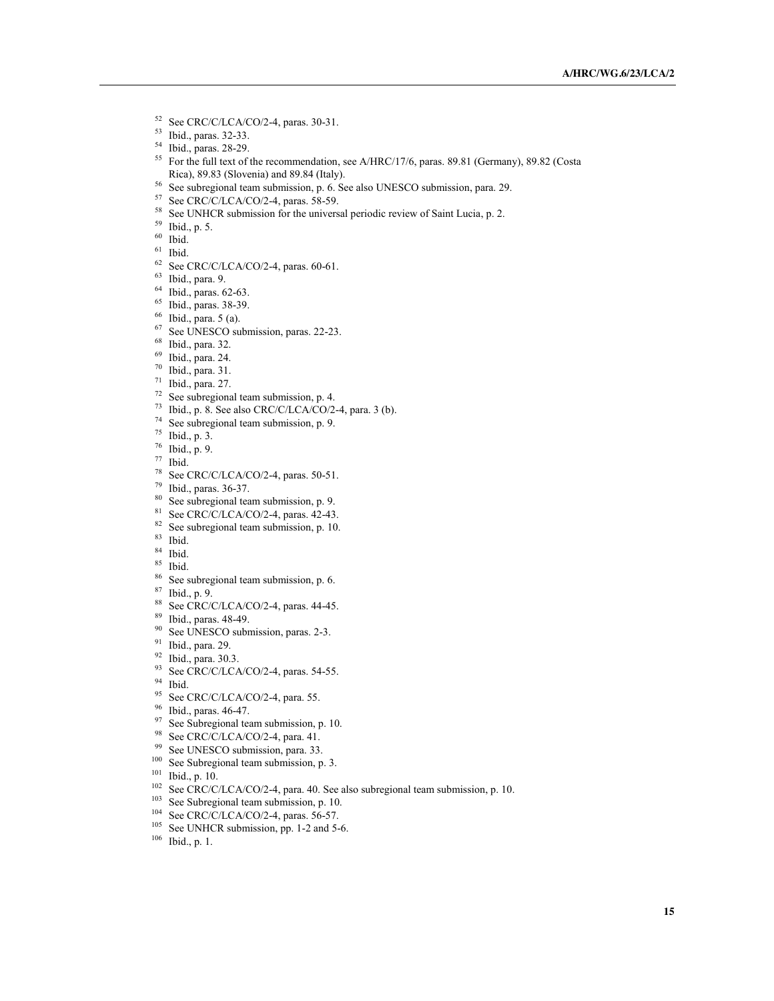- <sup>52</sup> See CRC/C/LCA/CO/2-4, paras. 30-31.
- <sup>53</sup> Ibid., paras. 32-33.
- <sup>54</sup> Ibid., paras. 28-29.
- <sup>55</sup> For the full text of the recommendation, see A/HRC/17/6, paras. 89.81 (Germany), 89.82 (Costa Rica), 89.83 (Slovenia) and 89.84 (Italy).
- <sup>56</sup> See subregional team submission, p. 6. See also UNESCO submission, para. 29.
- <sup>57</sup> See CRC/C/LCA/CO/2-4, paras. 58-59.
- <sup>58</sup> See UNHCR submission for the universal periodic review of Saint Lucia, p. 2.<br><sup>59</sup> Ibid., p. 5.<br><sup>60</sup> Ibid.<br><sup>61</sup> See CRC/C/LCA/CO/2-4, paras. 60-61.
- 

- 
- 
- <sup>63</sup> Ibid., para. 9.
- <sup>64</sup> Ibid., paras. 62-63.
- <sup>65</sup> Ibid., paras. 38-39.
- <sup>66</sup> Ibid., para. 5 (a).
- $67$  See UNESCO submission, paras. 22-23.<br> $68$  Ibid., para. 32.<br> $69$  Ibid., para. 24.
- 
- 
- 
- 
- <sup>70</sup> Ibid., para. 31.<br><sup>71</sup> Ibid., para. 27.<br><sup>72</sup> See subregional team submission, p. 4.
- <sup>73</sup> Ibid., p. 8. See also CRC/C/LCA/CO/2-4, para. 3 (b).<br><sup>74</sup> See subregional team submission, p. 9.
- 
- 
- 
- 
- 
- <sup>74</sup> See subregional team submission, p. 9.<br>
<sup>75</sup> Ibid., p. 3.<br>
<sup>76</sup> Ibid., p. 9.<br>
<sup>77</sup> Ibid. 78 See CRC/C/LCA/CO/2-4, paras. 50-51.<br>
<sup>79</sup> Ibid. paras. 26.37.
- 
- $^{79}$  Ibid., paras. 36-37.<br><sup>80</sup> See subregional team submission, p. 9.
- $81$  See CRC/C/LCA/CO/2-4, paras. 42-43.
- $82$  See subregional team submission, p. 10.<br> $83$  Ibid.<br> $84$  Ibid.
- 
- 
- 
- 
- 
- <sup>85</sup> Ibid.<br><sup>86</sup> See subregional team submission, p. 6.<br><sup>87</sup> Ibid., p. 9.<br><sup>88</sup> See CRC/C/LCA/CO/2-4, paras. 44-45.
- <sup>89</sup> Ibid., paras. 48-49.
- $90$  See UNESCO submission, paras. 2-3.<br><sup>91</sup> Ibid., para. 29.
- 
- 
- <sup>92</sup> Ibid., para. 30.3.<br><sup>93</sup> See CRC/C/LCA/CO/2-4, paras. 54-55.
- <sup>94</sup> Ibid.
- 95 See CRC/C/LCA/CO/2-4, para. 55.<br>96 Ibid. paras.  $46-47$
- $\frac{96}{97}$  Ibid., paras. 46-47.
- 97 See Subregional team submission, p. 10.<br>98 See CRC/C/LCA/CO/2-4, para. 41.<br>99 See UNESCO submission, para. 33.
- 
- 
- $\frac{100}{101}$  See Subregional team submission, p. 3. 101 Ibid., p. 10.
- 
- <sup>102</sup> See CRC/C/LCA/CO/2-4, para. 40. See also subregional team submission, p. 10.<br><sup>103</sup> See Subregional team submission, p. 10.
- 
- $104$  See CRC/C/LCA/CO/2-4, paras. 56-57.
- <sup>105</sup> See UNHCR submission, pp. 1-2 and 5-6.<br><sup>106</sup> Ibid., p. 1.
-